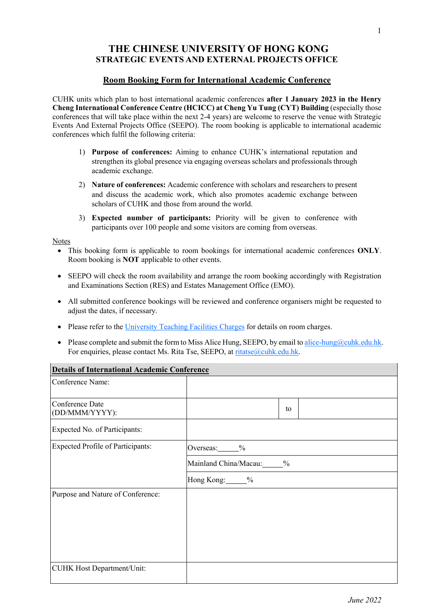# **THE CHINESE UNIVERSITY OF HONG KONG STRATEGIC EVENTS AND EXTERNAL PROJECTS OFFICE**

#### **Room Booking Form for International Academic Conference**

CUHK units which plan to host international academic conferences **after 1 January 2023 in the Henry Cheng International Conference Centre (HCICC) at Cheng Yu Tung (CYT) Building** (especially those conferences that will take place within the next 2-4 years) are welcome to reserve the venue with Strategic Events And External Projects Office (SEEPO). The room booking is applicable to international academic conferences which fulfil the following criteria:

- 1) **Purpose of conferences:** Aiming to enhance CUHK's international reputation and strengthen its global presence via engaging overseas scholars and professionals through academic exchange.
- 2) **Nature of conferences:** Academic conference with scholars and researchers to present and discuss the academic work, which also promotes academic exchange between scholars of CUHK and those from around the world.
- 3) **Expected number of participants:** Priority will be given to conference with participants over 100 people and some visitors are coming from overseas.

#### Notes

- This booking form is applicable to room bookings for international academic conferences **ONLY**. Room booking is **NOT** applicable to other events.
- SEEPO will check the room availability and arrange the room booking accordingly with Registration and Examinations Section (RES) and Estates Management Office (EMO).
- All submitted conference bookings will be reviewed and conference organisers might be requested to adjust the dates, if necessary.
- Please refer to the [University Teaching Facilities Charges](https://www.cuhk.edu.hk/fno/stf/eng/financial_guides/others/facilities_charges/teaching_facilites_charges.pdf) for details on room charges.
- Please complete and submit the form to Miss Alice Hung, SEEPO, by email to alice-hung@cuhk.edu.hk. For enquiries, please contact Ms. Rita Tse, SEEPO, at [ritatse@cuhk.edu.hk.](mailto:ritatse@cuhk.edu.hk)

| <b>Details of International Academic Conference</b> |                           |  |  |
|-----------------------------------------------------|---------------------------|--|--|
| Conference Name:                                    |                           |  |  |
| Conference Date<br>(DD/MMM/YYYY):                   | to                        |  |  |
| Expected No. of Participants:                       |                           |  |  |
| <b>Expected Profile of Participants:</b>            | Overseas: $\frac{\%}{\%}$ |  |  |
|                                                     | Mainland China/Macau: %   |  |  |
|                                                     | Hong Kong: %              |  |  |
| Purpose and Nature of Conference:                   |                           |  |  |
|                                                     |                           |  |  |
|                                                     |                           |  |  |
|                                                     |                           |  |  |
|                                                     |                           |  |  |
| <b>CUHK Host Department/Unit:</b>                   |                           |  |  |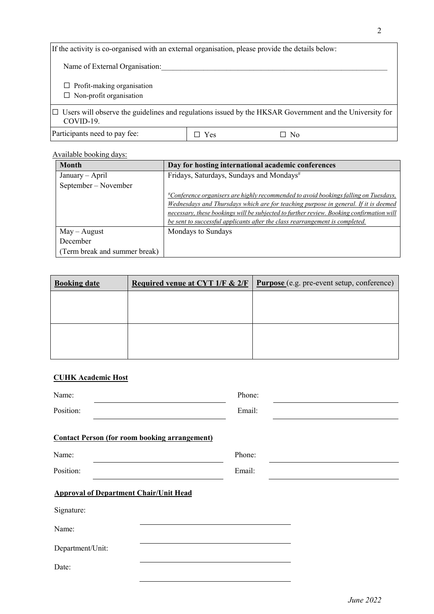| If the activity is co-organised with an external organisation, please provide the details below:                            |     |    |  |
|-----------------------------------------------------------------------------------------------------------------------------|-----|----|--|
| Name of External Organisation:                                                                                              |     |    |  |
| $\Box$ Profit-making organisation<br>$\Box$ Non-profit organisation                                                         |     |    |  |
| $\Box$ Users will observe the guidelines and regulations issued by the HKSAR Government and the University for<br>COVID-19. |     |    |  |
| Participants need to pay fee:                                                                                               | Yes | No |  |

## Available booking days:

| <b>Month</b>                  | Day for hosting international academic conferences                                                     |
|-------------------------------|--------------------------------------------------------------------------------------------------------|
| January – April               | Fridays, Saturdays, Sundays and Mondays <sup>#</sup>                                                   |
| September – November          |                                                                                                        |
|                               | <u><sup>#</sup>Conference organisers are highly recommended to avoid bookings falling on Tuesdays,</u> |
|                               | Wednesdays and Thursdays which are for teaching purpose in general. If it is deemed                    |
|                               | necessary, these bookings will be subjected to further review. Booking confirmation will               |
|                               | be sent to successful applicants after the class rearrangement is completed.                           |
| $May - August$                | Mondays to Sundays                                                                                     |
| December                      |                                                                                                        |
| (Term break and summer break) |                                                                                                        |

| <b>Booking date</b> | <b>Required venue at CYT 1/F &amp; 2/F</b> | <b>Purpose</b> (e.g. pre-event setup, conference) |
|---------------------|--------------------------------------------|---------------------------------------------------|
|                     |                                            |                                                   |
|                     |                                            |                                                   |
|                     |                                            |                                                   |
|                     |                                            |                                                   |

## **CUHK Academic Host**

| Name:                                                | Phone: |
|------------------------------------------------------|--------|
| Position:                                            | Email: |
| <b>Contact Person (for room booking arrangement)</b> |        |
| Name:                                                | Phone: |
| Position:                                            | Email: |
| <b>Approval of Department Chair/Unit Head</b>        |        |
| Signature:                                           |        |
| Name:                                                |        |
| Department/Unit:                                     |        |
| Date:                                                |        |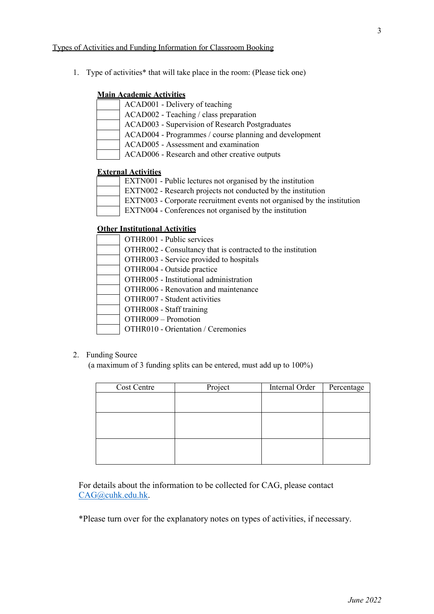1. Type of activities\* that will take place in the room: (Please tick one)

### **Main Academic Activities**

| ACAD001 - Delivery of teaching                         |
|--------------------------------------------------------|
| ACAD002 - Teaching / class preparation                 |
| ACAD003 - Supervision of Research Postgraduates        |
| ACAD004 - Programmes / course planning and development |
| ACAD005 - Assessment and examination                   |
| ACAD006 - Research and other creative outputs          |

## **External Activities**

| EXTN001 - Public lectures not organised by the institution              |
|-------------------------------------------------------------------------|
| EXTN002 - Research projects not conducted by the institution            |
| EXTN003 - Corporate recruitment events not organised by the institution |
| EXTN004 - Conferences not organised by the institution                  |

## **Other Institutional Activities**

| OTHR001 - Public services                                   |
|-------------------------------------------------------------|
| OTHR002 - Consultancy that is contracted to the institution |
| OTHR003 - Service provided to hospitals                     |
| OTHR004 - Outside practice                                  |
| OTHR005 - Institutional administration                      |
| OTHR006 - Renovation and maintenance                        |
| OTHR007 - Student activities                                |
| OTHR008 - Staff training                                    |
| OTHR009 - Promotion                                         |
| OTHR010 - Orientation / Ceremonies                          |

## 2. Funding Source

(a maximum of 3 funding splits can be entered, must add up to 100%)

| Cost Centre | Project | Internal Order | Percentage |
|-------------|---------|----------------|------------|
|             |         |                |            |
|             |         |                |            |
|             |         |                |            |
|             |         |                |            |
|             |         |                |            |
|             |         |                |            |
|             |         |                |            |
|             |         |                |            |

For details about the information to be collected for CAG, please contact [CAG@cuhk.edu.hk.](mailto:CAG@cuhk.edu.hk)

\*Please turn over for the explanatory notes on types of activities, if necessary.